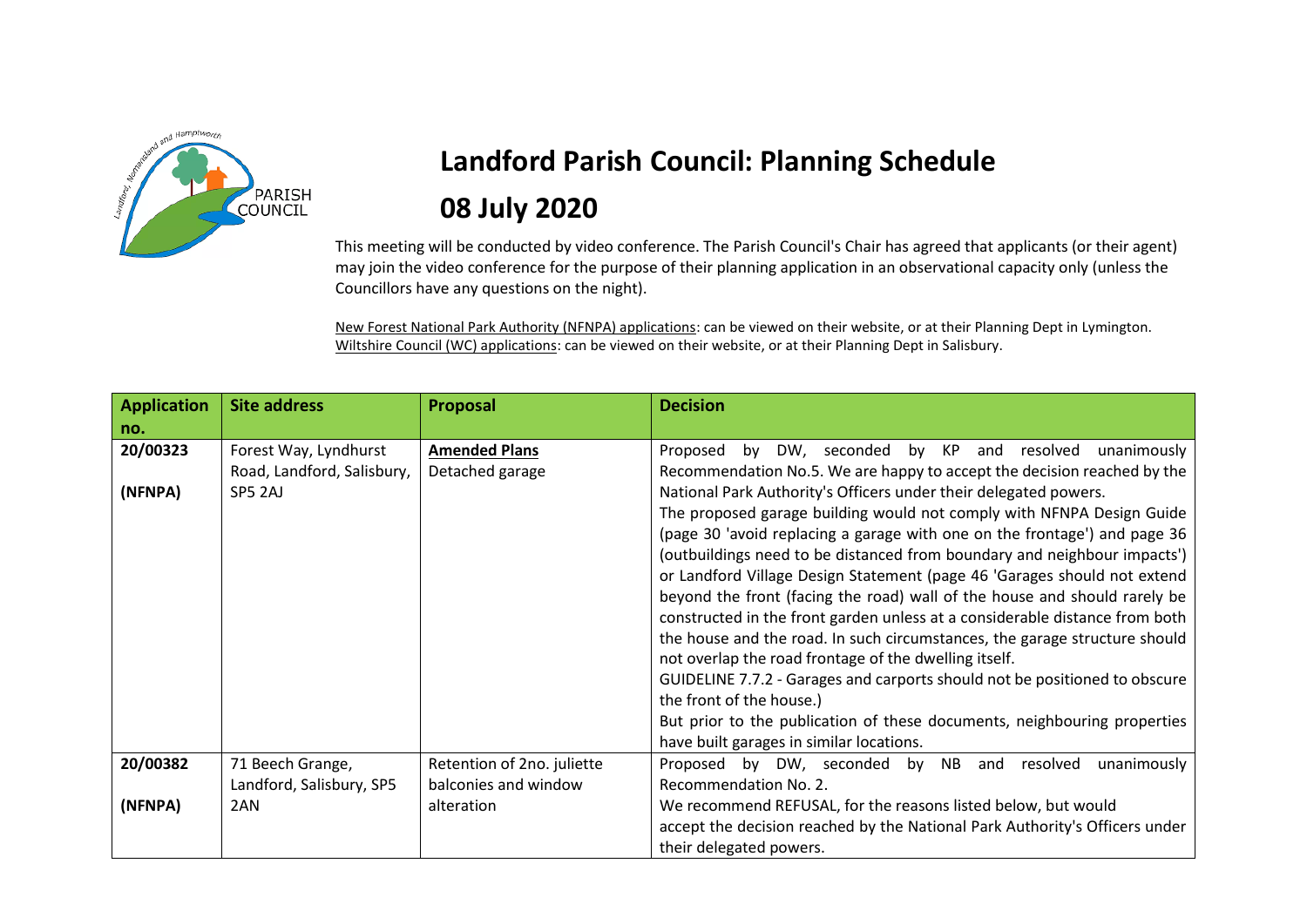

## **Landford Parish Council: Planning Schedule 08 July 2020**

This meeting will be conducted by video conference. The Parish Council's Chair has agreed that applicants (or their agent) may join the video conference for the purpose of their planning application in an observational capacity only (unless the Councillors have any questions on the night).

New Forest National Park Authority (NFNPA) applications: can be viewed on their website, or at their Planning Dept in Lymington. Wiltshire Council (WC) applications: can be viewed on their website, or at their Planning Dept in Salisbury.

| <b>Application</b><br>no. | <b>Site address</b>        | Proposal                   | <b>Decision</b>                                                             |
|---------------------------|----------------------------|----------------------------|-----------------------------------------------------------------------------|
| 20/00323                  | Forest Way, Lyndhurst      | <b>Amended Plans</b>       | Proposed by DW, seconded by KP and resolved unanimously                     |
|                           | Road, Landford, Salisbury, | Detached garage            | Recommendation No.5. We are happy to accept the decision reached by the     |
| (NFNPA)                   | SP5 2AJ                    |                            | National Park Authority's Officers under their delegated powers.            |
|                           |                            |                            | The proposed garage building would not comply with NFNPA Design Guide       |
|                           |                            |                            | (page 30 'avoid replacing a garage with one on the frontage') and page 36   |
|                           |                            |                            | (outbuildings need to be distanced from boundary and neighbour impacts')    |
|                           |                            |                            | or Landford Village Design Statement (page 46 'Garages should not extend    |
|                           |                            |                            | beyond the front (facing the road) wall of the house and should rarely be   |
|                           |                            |                            | constructed in the front garden unless at a considerable distance from both |
|                           |                            |                            | the house and the road. In such circumstances, the garage structure should  |
|                           |                            |                            | not overlap the road frontage of the dwelling itself.                       |
|                           |                            |                            | GUIDELINE 7.7.2 - Garages and carports should not be positioned to obscure  |
|                           |                            |                            | the front of the house.)                                                    |
|                           |                            |                            | But prior to the publication of these documents, neighbouring properties    |
|                           |                            |                            | have built garages in similar locations.                                    |
| 20/00382                  | 71 Beech Grange,           | Retention of 2no. juliette | Proposed by DW, seconded by NB<br>unanimously<br>resolved<br>and            |
|                           | Landford, Salisbury, SP5   | balconies and window       | Recommendation No. 2.                                                       |
| (NFNPA)                   | 2AN                        | alteration                 | We recommend REFUSAL, for the reasons listed below, but would               |
|                           |                            |                            | accept the decision reached by the National Park Authority's Officers under |
|                           |                            |                            | their delegated powers.                                                     |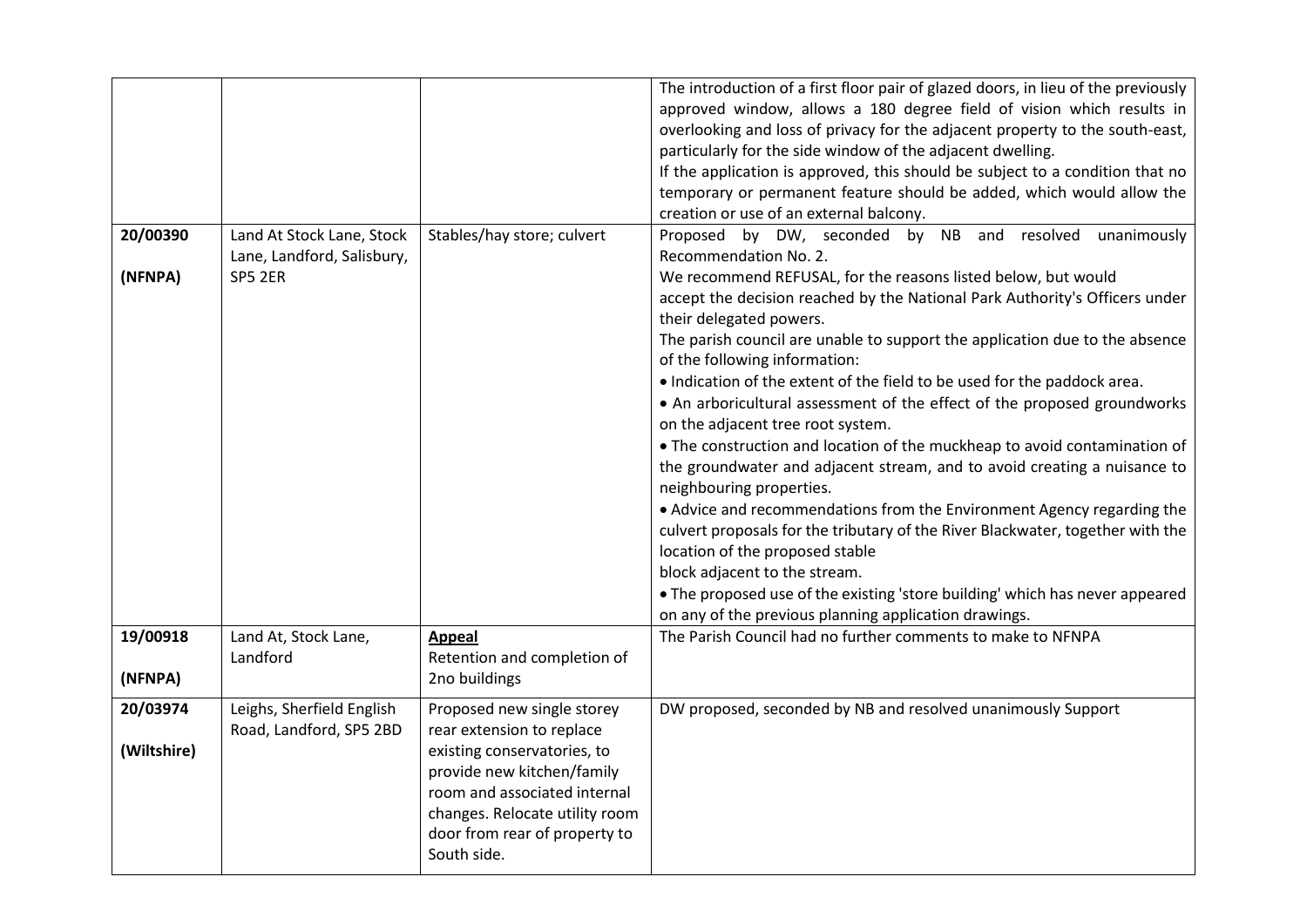|                         |                                                                    |                                                                                                                                                                                                                                        | The introduction of a first floor pair of glazed doors, in lieu of the previously<br>approved window, allows a 180 degree field of vision which results in<br>overlooking and loss of privacy for the adjacent property to the south-east,<br>particularly for the side window of the adjacent dwelling.<br>If the application is approved, this should be subject to a condition that no<br>temporary or permanent feature should be added, which would allow the<br>creation or use of an external balcony.                                                                                                                                                                                                                                                                                                                                                                                                                                                                                                                                                                                                                          |
|-------------------------|--------------------------------------------------------------------|----------------------------------------------------------------------------------------------------------------------------------------------------------------------------------------------------------------------------------------|----------------------------------------------------------------------------------------------------------------------------------------------------------------------------------------------------------------------------------------------------------------------------------------------------------------------------------------------------------------------------------------------------------------------------------------------------------------------------------------------------------------------------------------------------------------------------------------------------------------------------------------------------------------------------------------------------------------------------------------------------------------------------------------------------------------------------------------------------------------------------------------------------------------------------------------------------------------------------------------------------------------------------------------------------------------------------------------------------------------------------------------|
| 20/00390<br>(NFNPA)     | Land At Stock Lane, Stock<br>Lane, Landford, Salisbury,<br>SP5 2ER | Stables/hay store; culvert                                                                                                                                                                                                             | Proposed by DW, seconded by NB and resolved unanimously<br>Recommendation No. 2.<br>We recommend REFUSAL, for the reasons listed below, but would<br>accept the decision reached by the National Park Authority's Officers under<br>their delegated powers.<br>The parish council are unable to support the application due to the absence<br>of the following information:<br>. Indication of the extent of the field to be used for the paddock area.<br>• An arboricultural assessment of the effect of the proposed groundworks<br>on the adjacent tree root system.<br>. The construction and location of the muckheap to avoid contamination of<br>the groundwater and adjacent stream, and to avoid creating a nuisance to<br>neighbouring properties.<br>• Advice and recommendations from the Environment Agency regarding the<br>culvert proposals for the tributary of the River Blackwater, together with the<br>location of the proposed stable<br>block adjacent to the stream.<br>. The proposed use of the existing 'store building' which has never appeared<br>on any of the previous planning application drawings. |
| 19/00918<br>(NFNPA)     | Land At, Stock Lane,<br>Landford                                   | <b>Appeal</b><br>Retention and completion of<br>2no buildings                                                                                                                                                                          | The Parish Council had no further comments to make to NFNPA                                                                                                                                                                                                                                                                                                                                                                                                                                                                                                                                                                                                                                                                                                                                                                                                                                                                                                                                                                                                                                                                            |
| 20/03974<br>(Wiltshire) | Leighs, Sherfield English<br>Road, Landford, SP5 2BD               | Proposed new single storey<br>rear extension to replace<br>existing conservatories, to<br>provide new kitchen/family<br>room and associated internal<br>changes. Relocate utility room<br>door from rear of property to<br>South side. | DW proposed, seconded by NB and resolved unanimously Support                                                                                                                                                                                                                                                                                                                                                                                                                                                                                                                                                                                                                                                                                                                                                                                                                                                                                                                                                                                                                                                                           |